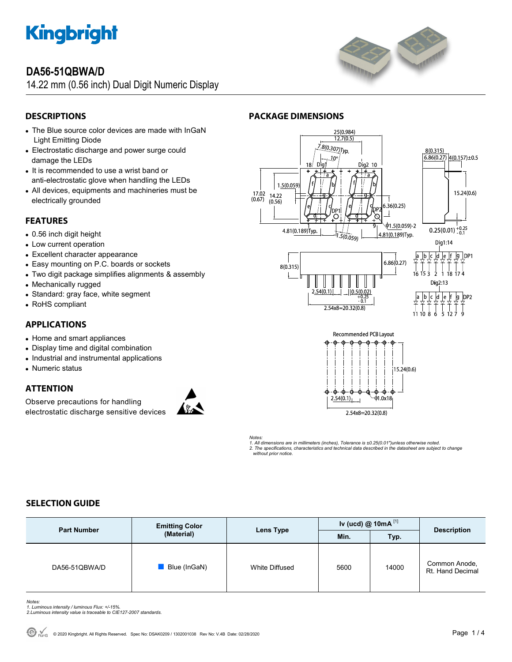

# **DA56-51QBWA/D**

14.22 mm (0.56 inch) Dual Digit Numeric Display



# **DESCRIPTIONS**

- The Blue source color devices are made with InGaN Light Emitting Diode
- Electrostatic discharge and power surge could damage the LEDs
- It is recommended to use a wrist band or anti-electrostatic glove when handling the LEDs
- All devices, equipments and machineries must be electrically grounded

# **FEATURES**

- 0.56 inch digit height
- Low current operation
- Excellent character appearance
- Easy mounting on P.C. boards or sockets
- Two digit package simplifies alignments & assembly
- Mechanically rugged
- Standard: gray face, white segment
- RoHS compliant

# **APPLICATIONS**

- Home and smart appliances
- Display time and digital combination
- Industrial and instrumental applications
- Numeric status

## **ATTENTION**

Observe precautions for handling electrostatic discharge sensitive devices



# **PACKAGE DIMENSIONS**





*Notes: 1. All dimensions are in millimeters (inches), Tolerance is ±0.25(0.01")unless otherwise noted. 2. The specifications, characteristics and technical data described in the datasheet are subject to change without prior notice.* 

# **SELECTION GUIDE**

| <b>Part Number</b> | <b>Emitting Color</b><br>(Material) | <b>Lens Type</b> | Iv (ucd) @ 10mA $^{[1]}$ |       | <b>Description</b>                |
|--------------------|-------------------------------------|------------------|--------------------------|-------|-----------------------------------|
|                    |                                     |                  | Min.                     | Typ.  |                                   |
| DA56-51QBWA/D      | Blue (InGaN)                        | White Diffused   | 5600                     | 14000 | Common Anode,<br>Rt. Hand Decimal |

*Notes: 1. Luminous intensity / luminous Flux: +/-15%.* 

*2.Luminous intensity value is traceable to CIE127-2007 standards.*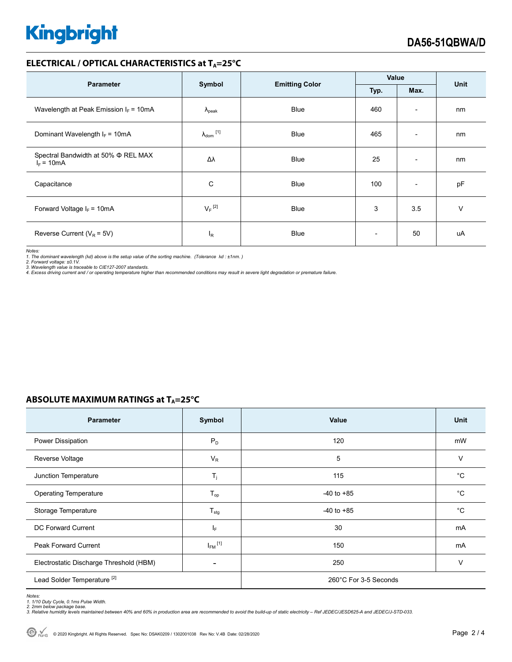# **Kingbright**

## **ELECTRICAL / OPTICAL CHARACTERISTICS at TA=25°C**

| <b>Parameter</b>                                         | Symbol                     | <b>Emitting Color</b> | Value |                          | <b>Unit</b> |
|----------------------------------------------------------|----------------------------|-----------------------|-------|--------------------------|-------------|
|                                                          |                            |                       | Typ.  | Max.                     |             |
| Wavelength at Peak Emission $I_F = 10mA$                 | $\Lambda_{\rm peak}$       | <b>Blue</b>           | 460   | $\overline{\phantom{a}}$ | nm          |
| Dominant Wavelength $I_F = 10mA$                         | $\lambda_{\text{dom}}$ [1] | <b>Blue</b>           | 465   | $\overline{\phantom{a}}$ | nm          |
| Spectral Bandwidth at 50% $\Phi$ REL MAX<br>$I_F = 10mA$ | Δλ                         | <b>Blue</b>           | 25    | $\overline{\phantom{a}}$ | nm          |
| Capacitance                                              | C                          | Blue                  | 100   | $\overline{\phantom{0}}$ | pF          |
| Forward Voltage $I_F = 10mA$                             | $V_F$ <sup>[2]</sup>       | <b>Blue</b>           | 3     | 3.5                      | v           |
| Reverse Current ( $V_R$ = 5V)                            | $I_R$                      | Blue                  |       | 50                       | uA          |

*Notes:* 

*1. The dominant wavelength (*λ*d) above is the setup value of the sorting machine. (Tolerance* λ*d : ±1nm. )* 

*2. Forward voltage: ±0.1V. 3. Wavelength value is traceable to CIE127-2007 standards.* 

*4. Excess driving current and / or operating temperature higher than recommended conditions may result in severe light degradation or premature failure.* 

# **ABSOLUTE MAXIMUM RATINGS at TA=25°C**

| <b>Parameter</b>                        | Symbol                  | Value                 | Unit         |  |
|-----------------------------------------|-------------------------|-----------------------|--------------|--|
| Power Dissipation                       | $P_D$                   | 120                   | mW           |  |
| Reverse Voltage                         | $V_R$                   | 5                     | V            |  |
| Junction Temperature                    | $T_j$                   | 115                   | $^{\circ}$ C |  |
| <b>Operating Temperature</b>            | $T_{op}$                | $-40$ to $+85$        | $^{\circ}C$  |  |
| Storage Temperature                     | $T_{\text{stg}}$        | $-40$ to $+85$        | $^{\circ}C$  |  |
| <b>DC Forward Current</b>               | IF.                     | 30                    | mA           |  |
| <b>Peak Forward Current</b>             | $I_{FM}$ <sup>[1]</sup> | 150                   | mA           |  |
| Electrostatic Discharge Threshold (HBM) |                         | 250                   | $\vee$       |  |
| Lead Solder Temperature <sup>[2]</sup>  |                         | 260°C For 3-5 Seconds |              |  |

Notes:<br>1. 1/10 Duty Cycle, 0.1ms Pulse Width.<br>2. 2mm below package base.<br>3. Relative humidity levels maintained between 40% and 60% in production area are recommended to avoid the build-up of static electricity – Ref JEDEC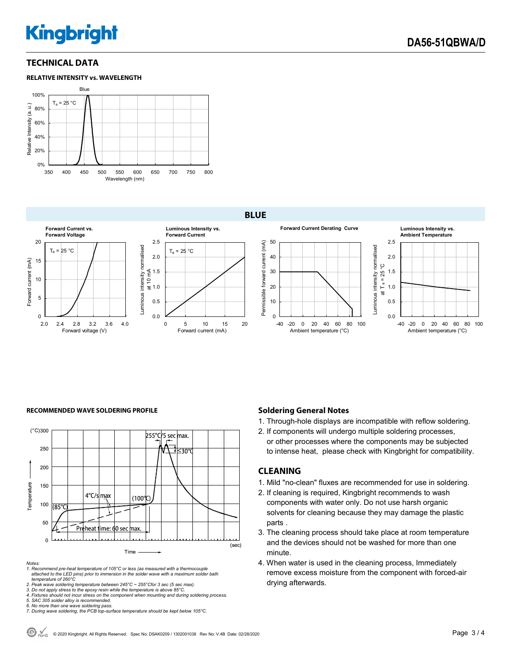# **Kingbright**

### **TECHNICAL DATA**



#### **BLUE**



#### **RECOMMENDED WAVE SOLDERING PROFILE <b>A CONDUCT A CONDUCT SOLDERING PROFILE Soldering General Notes**



*Notes:* 

*1. Recommend pre-heat temperature of 105°C or less (as measured with a thermocouple attached to the LED pins) prior to immersion in the solder wave with a maximum solder bath temperature of 260°C* 

2. Peak wave soldering temperature between 245°C ~ 255°Cfor 3 sec (5 sec max).<br>3. Do not apply stress to the epoxy resin while the temperature is above 85°C.<br>4. Fixtures should not incur stress on the component when mounti

*5. SAC 305 solder alloy is recommended.* 

- 
- *6. No more than one wave soldering pass. 7. During wave soldering, the PCB top-surface temperature should be kept below 105°C.*

- 1. Through-hole displays are incompatible with reflow soldering.
- 2. If components will undergo multiple soldering processes, or other processes where the components may be subjected to intense heat, please check with Kingbright for compatibility.

### **CLEANING**

- 1. Mild "no-clean" fluxes are recommended for use in soldering.
- 2. If cleaning is required, Kingbright recommends to wash components with water only. Do not use harsh organic solvents for cleaning because they may damage the plastic parts .
- 3. The cleaning process should take place at room temperature and the devices should not be washed for more than one minute.
- 4. When water is used in the cleaning process, Immediately remove excess moisture from the component with forced-air drying afterwards.